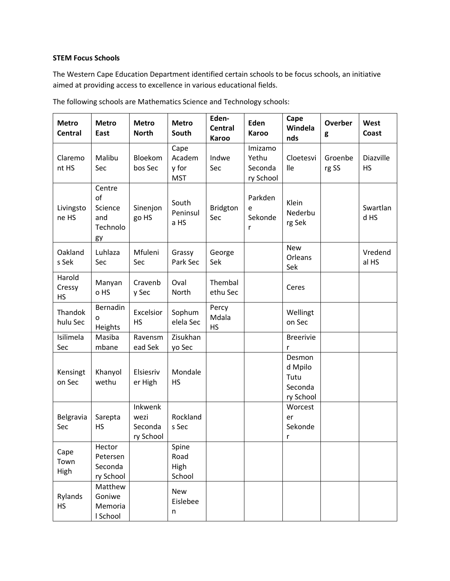## **STEM Focus Schools**

The Western Cape Education Department identified certain schools to be focus schools, an initiative aimed at providing access to excellence in various educational fields.

| <b>Metro</b><br><b>Central</b> | <b>Metro</b><br>East                             | <b>Metro</b><br><b>North</b>            | <b>Metro</b><br>South                 | Eden-<br><b>Central</b><br>Karoo | Eden<br><b>Karoo</b>                     | Cape<br>Windela<br>nds                            | Overber<br>g     | West<br>Coast          |
|--------------------------------|--------------------------------------------------|-----------------------------------------|---------------------------------------|----------------------------------|------------------------------------------|---------------------------------------------------|------------------|------------------------|
| Claremo<br>nt HS               | Malibu<br>Sec                                    | Bloekom<br>bos Sec                      | Cape<br>Academ<br>y for<br><b>MST</b> | Indwe<br>Sec                     | Imizamo<br>Yethu<br>Seconda<br>ry School | Cloetesvi<br>lle                                  | Groenbe<br>rg SS | Diazville<br><b>HS</b> |
| Livingsto<br>ne HS             | Centre<br>of<br>Science<br>and<br>Technolo<br>gy | Sinenjon<br>go HS                       | South<br>Peninsul<br>a HS             | <b>Bridgton</b><br>Sec           | Parkden<br>e<br>Sekonde<br>r             | Klein<br>Nederbu<br>rg Sek                        |                  | Swartlan<br>d HS       |
| Oakland<br>s Sek               | Luhlaza<br>Sec                                   | Mfuleni<br>Sec                          | Grassy<br>Park Sec                    | George<br>Sek                    |                                          | <b>New</b><br>Orleans<br>Sek                      |                  | Vredend<br>al HS       |
| Harold<br>Cressy<br><b>HS</b>  | Manyan<br>o HS                                   | Cravenb<br>y Sec                        | Oval<br>North                         | Thembal<br>ethu Sec              |                                          | Ceres                                             |                  |                        |
| Thandok<br>hulu Sec            | Bernadin<br>$\Omega$<br>Heights                  | Excelsior<br><b>HS</b>                  | Sophum<br>elela Sec                   | Percy<br>Mdala<br><b>HS</b>      |                                          | Wellingt<br>on Sec                                |                  |                        |
| Isilimela<br>Sec               | Masiba<br>mbane                                  | Ravensm<br>ead Sek                      | Zisukhan<br>yo Sec                    |                                  |                                          | <b>Breerivie</b><br>r                             |                  |                        |
| Kensingt<br>on Sec             | Khanyol<br>wethu                                 | Elsiesriv<br>er High                    | Mondale<br><b>HS</b>                  |                                  |                                          | Desmon<br>d Mpilo<br>Tutu<br>Seconda<br>ry School |                  |                        |
| Belgravia<br>Sec               | Sarepta<br><b>HS</b>                             | Inkwenk<br>wezi<br>Seconda<br>ry School | Rockland<br>s Sec                     |                                  |                                          | Worcest<br>er<br>Sekonde<br>r                     |                  |                        |
| Cape<br>Town<br>High           | Hector<br>Petersen<br>Seconda<br>ry School       |                                         | Spine<br>Road<br>High<br>School       |                                  |                                          |                                                   |                  |                        |
| Rylands<br><b>HS</b>           | Matthew<br>Goniwe<br>Memoria<br>I School         |                                         | <b>New</b><br>Eislebee<br>n           |                                  |                                          |                                                   |                  |                        |

The following schools are Mathematics Science and Technology schools: